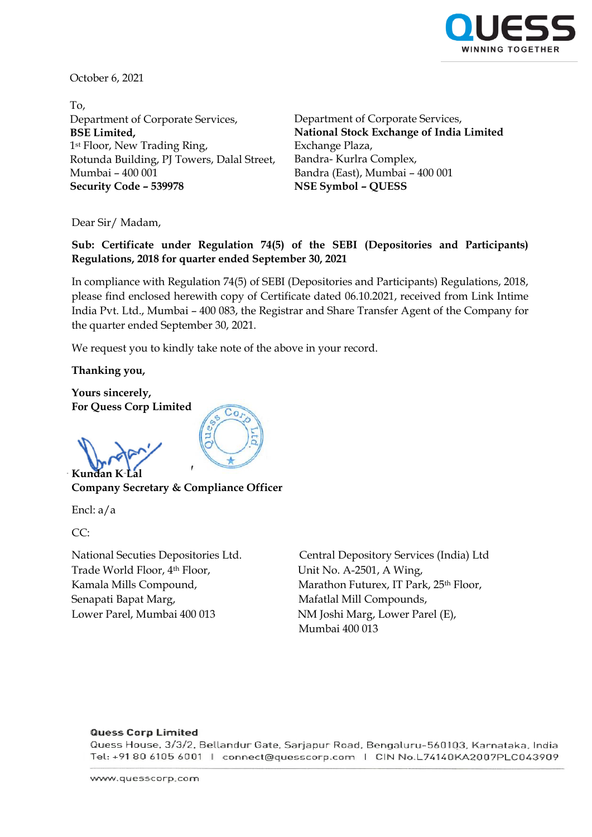

October 6, 2021

To, Department of Corporate Services, **BSE Limited,** 1st Floor, New Trading Ring, Rotunda Building, PJ Towers, Dalal Street, Mumbai – 400 001 **Security Code – 539978 NSE Symbol – QUESS**

Department of Corporate Services, **National Stock Exchange of India Limited** Exchange Plaza, Bandra- Kurlra Complex, Bandra (East), Mumbai – 400 001

Dear Sir/ Madam,

**Sub: Certificate under Regulation 74(5) of the SEBI (Depositories and Participants) Regulations, 2018 for quarter ended September 30, 2021**

In compliance with Regulation 74(5) of SEBI (Depositories and Participants) Regulations, 2018, please find enclosed herewith copy of Certificate dated 06.10.2021, received from Link Intime India Pvt. Ltd., Mumbai – 400 083, the Registrar and Share Transfer Agent of the Company for the quarter ended September 30, 2021.

We request you to kindly take note of the above in your record.

**Thanking you,**

**Yours sincerely, For Quess Corp Limited** 

**Kundan K-I** 

**Company Secretary & Compliance Officer** 

Encl: a/a

CC:

Trade World Floor, 4<sup>th</sup> Floor, Unit No. A-2501, A Wing, Senapati Bapat Marg, mentrim and Mafatlal Mill Compounds, Lower Parel, Mumbai 400 013 NM Joshi Marg, Lower Parel (E),

National Secuties Depositories Ltd. Central Depository Services (India) Ltd Kamala Mills Compound, Marathon Futurex, IT Park, 25<sup>th</sup> Floor, Mumbai 400 013

## **Quess Corp Limited**

Quess House, 3/3/2, Bellandur Gate, Sarjapur Road, Bengaluru-560103, Karnataka, India Tel: +91 80 6105 6001 | connect@quesscorp.com | CIN No.L74140KA2007PLC043909